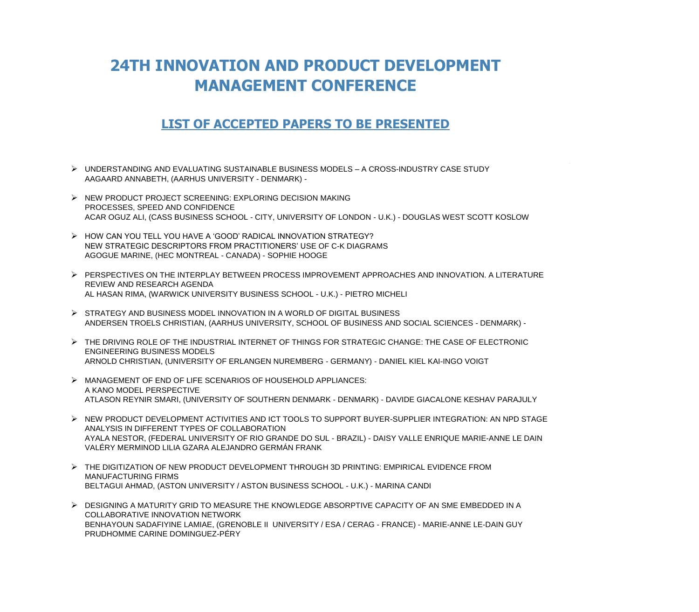## **24TH INNOVATION AND PRODUCT DEVELOPMENT MANAGEMENT CONFERENCE**

## **LIST OF ACCEPTED PAPERS TO BE PRESENTED**

- ➢ UNDERSTANDING AND EVALUATING SUSTAINABLE BUSINESS MODELS A CROSS-INDUSTRY CASE STUDY AAGAARD ANNABETH, (AARHUS UNIVERSITY - DENMARK) -
- ➢ NEW PRODUCT PROJECT SCREENING: EXPLORING DECISION MAKING PROCESSES, SPEED AND CONFIDENCE ACAR OGUZ ALI, (CASS BUSINESS SCHOOL - CITY, UNIVERSITY OF LONDON - U.K.) - DOUGLAS WEST SCOTT KOSLOW
- ➢ HOW CAN YOU TELL YOU HAVE A 'GOOD' RADICAL INNOVATION STRATEGY? NEW STRATEGIC DESCRIPTORS FROM PRACTITIONERS' USE OF C-K DIAGRAMS AGOGUE MARINE, (HEC MONTREAL - CANADA) - SOPHIE HOOGE
- ➢ PERSPECTIVES ON THE INTERPLAY BETWEEN PROCESS IMPROVEMENT APPROACHES AND INNOVATION. A LITERATURE REVIEW AND RESEARCH AGENDA AL HASAN RIMA, (WARWICK UNIVERSITY BUSINESS SCHOOL - U.K.) - PIETRO MICHELI
- ➢ STRATEGY AND BUSINESS MODEL INNOVATION IN A WORLD OF DIGITAL BUSINESS ANDERSEN TROELS CHRISTIAN, (AARHUS UNIVERSITY, SCHOOL OF BUSINESS AND SOCIAL SCIENCES - DENMARK) -
- ➢ THE DRIVING ROLE OF THE INDUSTRIAL INTERNET OF THINGS FOR STRATEGIC CHANGE: THE CASE OF ELECTRONIC ENGINEERING BUSINESS MODELS ARNOLD CHRISTIAN, (UNIVERSITY OF ERLANGEN NUREMBERG - GERMANY) - DANIEL KIEL KAI-INGO VOIGT
- ➢ MANAGEMENT OF END OF LIFE SCENARIOS OF HOUSEHOLD APPLIANCES: A KANO MODEL PERSPECTIVE ATLASON REYNIR SMARI, (UNIVERSITY OF SOUTHERN DENMARK - DENMARK) - DAVIDE GIACALONE KESHAV PARAJULY
- ➢ NEW PRODUCT DEVELOPMENT ACTIVITIES AND ICT TOOLS TO SUPPORT BUYER-SUPPLIER INTEGRATION: AN NPD STAGE ANALYSIS IN DIFFERENT TYPES OF COLLABORATION AYALA NESTOR, (FEDERAL UNIVERSITY OF RIO GRANDE DO SUL - BRAZIL) - DAISY VALLE ENRIQUE MARIE-ANNE LE DAIN VALÉRY MERMINOD LILIA GZARA ALEJANDRO GERMÁN FRANK
- ➢ THE DIGITIZATION OF NEW PRODUCT DEVELOPMENT THROUGH 3D PRINTING: EMPIRICAL EVIDENCE FROM MANUFACTURING FIRMS BELTAGUI AHMAD, (ASTON UNIVERSITY / ASTON BUSINESS SCHOOL - U.K.) - MARINA CANDI
- ➢ DESIGNING A MATURITY GRID TO MEASURE THE KNOWLEDGE ABSORPTIVE CAPACITY OF AN SME EMBEDDED IN A COLLABORATIVE INNOVATION NETWORK BENHAYOUN SADAFIYINE LAMIAE, (GRENOBLE II UNIVERSITY / ESA / CERAG - FRANCE) - MARIE-ANNE LE-DAIN GUY PRUDHOMME CARINE DOMINGUEZ-PÉRY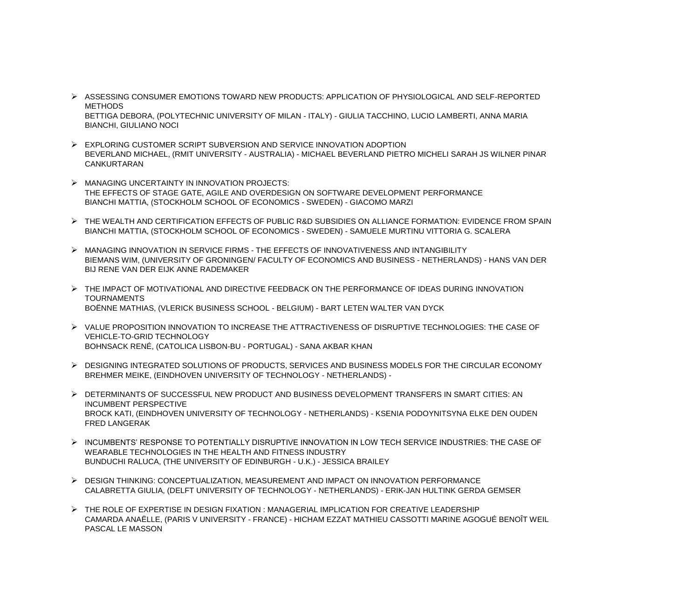- ➢ ASSESSING CONSUMER EMOTIONS TOWARD NEW PRODUCTS: APPLICATION OF PHYSIOLOGICAL AND SELF-REPORTED METHODS BETTIGA DEBORA, (POLYTECHNIC UNIVERSITY OF MILAN - ITALY) - GIULIA TACCHINO, LUCIO LAMBERTI, ANNA MARIA BIANCHI, GIULIANO NOCI
- ➢ EXPLORING CUSTOMER SCRIPT SUBVERSION AND SERVICE INNOVATION ADOPTION BEVERLAND MICHAEL, (RMIT UNIVERSITY - AUSTRALIA) - MICHAEL BEVERLAND PIETRO MICHELI SARAH JS WILNER PINAR CANKURTARAN
- ➢ MANAGING UNCERTAINTY IN INNOVATION PROJECTS: THE EFFECTS OF STAGE GATE, AGILE AND OVERDESIGN ON SOFTWARE DEVELOPMENT PERFORMANCE BIANCHI MATTIA, (STOCKHOLM SCHOOL OF ECONOMICS - SWEDEN) - GIACOMO MARZI
- ➢ THE WEALTH AND CERTIFICATION EFFECTS OF PUBLIC R&D SUBSIDIES ON ALLIANCE FORMATION: EVIDENCE FROM SPAIN BIANCHI MATTIA, (STOCKHOLM SCHOOL OF ECONOMICS - SWEDEN) - SAMUELE MURTINU VITTORIA G. SCALERA
- ➢ MANAGING INNOVATION IN SERVICE FIRMS THE EFFECTS OF INNOVATIVENESS AND INTANGIBILITY BIEMANS WIM, (UNIVERSITY OF GRONINGEN/ FACULTY OF ECONOMICS AND BUSINESS - NETHERLANDS) - HANS VAN DER BIJ RENE VAN DER EIJK ANNE RADEMAKER
- ➢ THE IMPACT OF MOTIVATIONAL AND DIRECTIVE FEEDBACK ON THE PERFORMANCE OF IDEAS DURING INNOVATION TOURNAMENTS BOËNNE MATHIAS, (VLERICK BUSINESS SCHOOL - BELGIUM) - BART LETEN WALTER VAN DYCK
- ➢ VALUE PROPOSITION INNOVATION TO INCREASE THE ATTRACTIVENESS OF DISRUPTIVE TECHNOLOGIES: THE CASE OF VEHICLE-TO-GRID TECHNOLOGY BOHNSACK RENÉ, (CATOLICA LISBON-BU - PORTUGAL) - SANA AKBAR KHAN
- ➢ DESIGNING INTEGRATED SOLUTIONS OF PRODUCTS, SERVICES AND BUSINESS MODELS FOR THE CIRCULAR ECONOMY BREHMER MEIKE, (EINDHOVEN UNIVERSITY OF TECHNOLOGY - NETHERLANDS) -
- ➢ DETERMINANTS OF SUCCESSFUL NEW PRODUCT AND BUSINESS DEVELOPMENT TRANSFERS IN SMART CITIES: AN INCUMBENT PERSPECTIVE BROCK KATI, (EINDHOVEN UNIVERSITY OF TECHNOLOGY - NETHERLANDS) - KSENIA PODOYNITSYNA ELKE DEN OUDEN FRED LANGERAK
- ➢ INCUMBENTS' RESPONSE TO POTENTIALLY DISRUPTIVE INNOVATION IN LOW TECH SERVICE INDUSTRIES: THE CASE OF WEARABLE TECHNOLOGIES IN THE HEALTH AND FITNESS INDUSTRY BUNDUCHI RALUCA, (THE UNIVERSITY OF EDINBURGH - U.K.) - JESSICA BRAILEY
- ➢ DESIGN THINKING: CONCEPTUALIZATION, MEASUREMENT AND IMPACT ON INNOVATION PERFORMANCE CALABRETTA GIULIA, (DELFT UNIVERSITY OF TECHNOLOGY - NETHERLANDS) - ERIK-JAN HULTINK GERDA GEMSER
- ➢ THE ROLE OF EXPERTISE IN DESIGN FIXATION : MANAGERIAL IMPLICATION FOR CREATIVE LEADERSHIP CAMARDA ANAËLLE, (PARIS V UNIVERSITY - FRANCE) - HICHAM EZZAT MATHIEU CASSOTTI MARINE AGOGUÉ BENOÎT WEIL PASCAL LE MASSON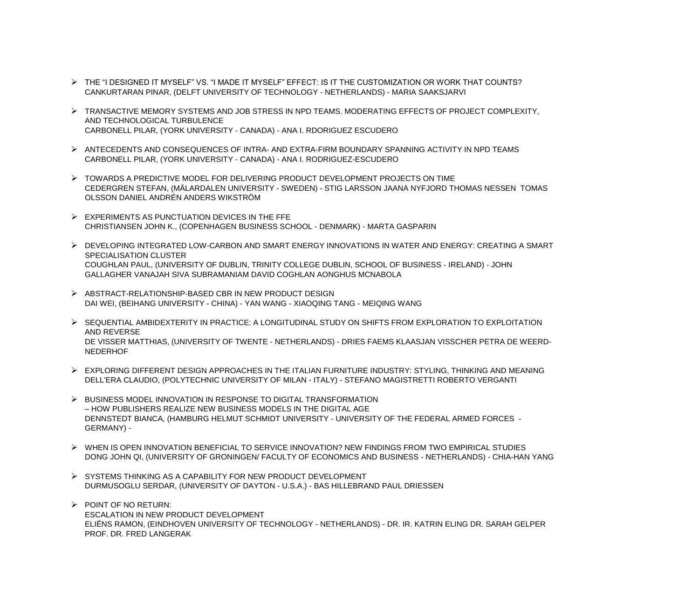- ➢ THE "I DESIGNED IT MYSELF" VS. "I MADE IT MYSELF" EFFECT: IS IT THE CUSTOMIZATION OR WORK THAT COUNTS? CANKURTARAN PINAR, (DELFT UNIVERSITY OF TECHNOLOGY - NETHERLANDS) - MARIA SAAKSJARVI
- ➢ TRANSACTIVE MEMORY SYSTEMS AND JOB STRESS IN NPD TEAMS. MODERATING EFFECTS OF PROJECT COMPLEXITY, AND TECHNOLOGICAL TURBULENCE CARBONELL PILAR, (YORK UNIVERSITY - CANADA) - ANA I. RDORIGUEZ ESCUDERO
- ➢ ANTECEDENTS AND CONSEQUENCES OF INTRA- AND EXTRA-FIRM BOUNDARY SPANNING ACTIVITY IN NPD TEAMS CARBONELL PILAR, (YORK UNIVERSITY - CANADA) - ANA I. RODRIGUEZ-ESCUDERO
- ➢ TOWARDS A PREDICTIVE MODEL FOR DELIVERING PRODUCT DEVELOPMENT PROJECTS ON TIME CEDERGREN STEFAN, (MÄLARDALEN UNIVERSITY - SWEDEN) - STIG LARSSON JAANA NYFJORD THOMAS NESSEN TOMAS OLSSON DANIEL ANDRÉN ANDERS WIKSTRÖM
- $\triangleright$  EXPERIMENTS AS PUNCTUATION DEVICES IN THE FFE CHRISTIANSEN JOHN K., (COPENHAGEN BUSINESS SCHOOL - DENMARK) - MARTA GASPARIN
- ➢ DEVELOPING INTEGRATED LOW-CARBON AND SMART ENERGY INNOVATIONS IN WATER AND ENERGY: CREATING A SMART SPECIALISATION CLUSTER COUGHLAN PAUL, (UNIVERSITY OF DUBLIN, TRINITY COLLEGE DUBLIN, SCHOOL OF BUSINESS - IRELAND) - JOHN GALLAGHER VANAJAH SIVA SUBRAMANIAM DAVID COGHLAN AONGHUS MCNABOLA
- ➢ ABSTRACT-RELATIONSHIP-BASED CBR IN NEW PRODUCT DESIGN DAI WEI, (BEIHANG UNIVERSITY - CHINA) - YAN WANG - XIAOQING TANG - MEIQING WANG
- ➢ SEQUENTIAL AMBIDEXTERITY IN PRACTICE: A LONGITUDINAL STUDY ON SHIFTS FROM EXPLORATION TO EXPLOITATION AND REVERSE DE VISSER MATTHIAS, (UNIVERSITY OF TWENTE - NETHERLANDS) - DRIES FAEMS KLAASJAN VISSCHER PETRA DE WEERD-NEDERHOF
- ➢ EXPLORING DIFFERENT DESIGN APPROACHES IN THE ITALIAN FURNITURE INDUSTRY: STYLING, THINKING AND MEANING DELL'ERA CLAUDIO, (POLYTECHNIC UNIVERSITY OF MILAN - ITALY) - STEFANO MAGISTRETTI ROBERTO VERGANTI
- ➢ BUSINESS MODEL INNOVATION IN RESPONSE TO DIGITAL TRANSFORMATION – HOW PUBLISHERS REALIZE NEW BUSINESS MODELS IN THE DIGITAL AGE DENNSTEDT BIANCA, (HAMBURG HELMUT SCHMIDT UNIVERSITY - UNIVERSITY OF THE FEDERAL ARMED FORCES - GERMANY) -
- ➢ WHEN IS OPEN INNOVATION BENEFICIAL TO SERVICE INNOVATION? NEW FINDINGS FROM TWO EMPIRICAL STUDIES DONG JOHN QI, (UNIVERSITY OF GRONINGEN/ FACULTY OF ECONOMICS AND BUSINESS - NETHERLANDS) - CHIA-HAN YANG
- ➢ SYSTEMS THINKING AS A CAPABILITY FOR NEW PRODUCT DEVELOPMENT DURMUSOGLU SERDAR, (UNIVERSITY OF DAYTON - U.S.A.) - BAS HILLEBRAND PAUL DRIESSEN
- ➢ POINT OF NO RETURN: ESCALATION IN NEW PRODUCT DEVELOPMENT ELIËNS RAMON, (EINDHOVEN UNIVERSITY OF TECHNOLOGY - NETHERLANDS) - DR. IR. KATRIN ELING DR. SARAH GELPER PROF. DR. FRED LANGERAK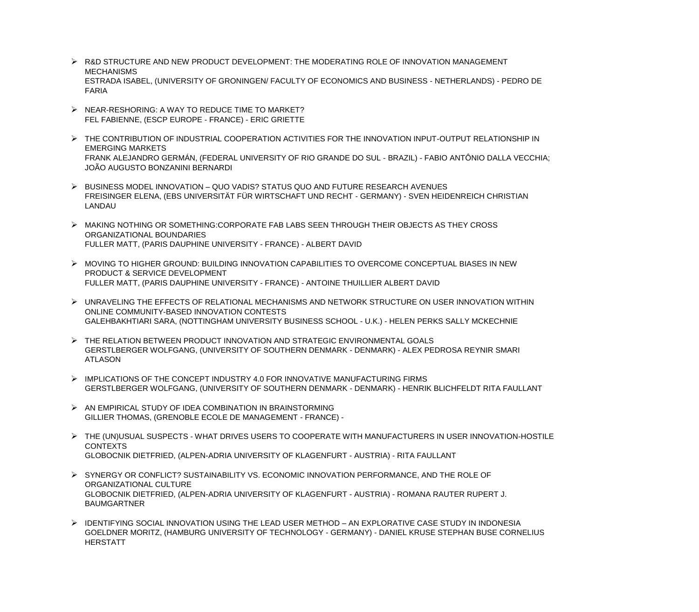- ➢ R&D STRUCTURE AND NEW PRODUCT DEVELOPMENT: THE MODERATING ROLE OF INNOVATION MANAGEMENT **MECHANISMS** ESTRADA ISABEL, (UNIVERSITY OF GRONINGEN/ FACULTY OF ECONOMICS AND BUSINESS - NETHERLANDS) - PEDRO DE FARIA
- ➢ NEAR-RESHORING: A WAY TO REDUCE TIME TO MARKET? FEL FABIENNE, (ESCP EUROPE - FRANCE) - ERIC GRIETTE
- ➢ THE CONTRIBUTION OF INDUSTRIAL COOPERATION ACTIVITIES FOR THE INNOVATION INPUT-OUTPUT RELATIONSHIP IN EMERGING MARKETS FRANK ALEJANDRO GERMÁN, (FEDERAL UNIVERSITY OF RIO GRANDE DO SUL - BRAZIL) - FABIO ANTÔNIO DALLA VECCHIA; JOÃO AUGUSTO BONZANINI BERNARDI
- ➢ BUSINESS MODEL INNOVATION QUO VADIS? STATUS QUO AND FUTURE RESEARCH AVENUES FREISINGER ELENA, (EBS UNIVERSITÄT FÜR WIRTSCHAFT UND RECHT - GERMANY) - SVEN HEIDENREICH CHRISTIAN LANDAU
- ➢ MAKING NOTHING OR SOMETHING:CORPORATE FAB LABS SEEN THROUGH THEIR OBJECTS AS THEY CROSS ORGANIZATIONAL BOUNDARIES FULLER MATT, (PARIS DAUPHINE UNIVERSITY - FRANCE) - ALBERT DAVID
- ➢ MOVING TO HIGHER GROUND: BUILDING INNOVATION CAPABILITIES TO OVERCOME CONCEPTUAL BIASES IN NEW PRODUCT & SERVICE DEVELOPMENT FULLER MATT, (PARIS DAUPHINE UNIVERSITY - FRANCE) - ANTOINE THUILLIER ALBERT DAVID
- ➢ UNRAVELING THE EFFECTS OF RELATIONAL MECHANISMS AND NETWORK STRUCTURE ON USER INNOVATION WITHIN ONLINE COMMUNITY-BASED INNOVATION CONTESTS GALEHBAKHTIARI SARA, (NOTTINGHAM UNIVERSITY BUSINESS SCHOOL - U.K.) - HELEN PERKS SALLY MCKECHNIE
- ➢ THE RELATION BETWEEN PRODUCT INNOVATION AND STRATEGIC ENVIRONMENTAL GOALS GERSTLBERGER WOLFGANG, (UNIVERSITY OF SOUTHERN DENMARK - DENMARK) - ALEX PEDROSA REYNIR SMARI ATLASON
- ➢ IMPLICATIONS OF THE CONCEPT INDUSTRY 4.0 FOR INNOVATIVE MANUFACTURING FIRMS GERSTLBERGER WOLFGANG, (UNIVERSITY OF SOUTHERN DENMARK - DENMARK) - HENRIK BLICHFELDT RITA FAULLANT
- $\triangleright$  AN EMPIRICAL STUDY OF IDEA COMBINATION IN BRAINSTORMING GILLIER THOMAS, (GRENOBLE ECOLE DE MANAGEMENT - FRANCE) -
- ➢ THE (UN)USUAL SUSPECTS WHAT DRIVES USERS TO COOPERATE WITH MANUFACTURERS IN USER INNOVATION-HOSTILE CONTEXTS GLOBOCNIK DIETFRIED, (ALPEN-ADRIA UNIVERSITY OF KLAGENFURT - AUSTRIA) - RITA FAULLANT
- ➢ SYNERGY OR CONFLICT? SUSTAINABILITY VS. ECONOMIC INNOVATION PERFORMANCE, AND THE ROLE OF ORGANIZATIONAL CULTURE GLOBOCNIK DIETFRIED, (ALPEN-ADRIA UNIVERSITY OF KLAGENFURT - AUSTRIA) - ROMANA RAUTER RUPERT J. BAUMGARTNER
- ➢ IDENTIFYING SOCIAL INNOVATION USING THE LEAD USER METHOD AN EXPLORATIVE CASE STUDY IN INDONESIA GOELDNER MORITZ, (HAMBURG UNIVERSITY OF TECHNOLOGY - GERMANY) - DANIEL KRUSE STEPHAN BUSE CORNELIUS HERSTATT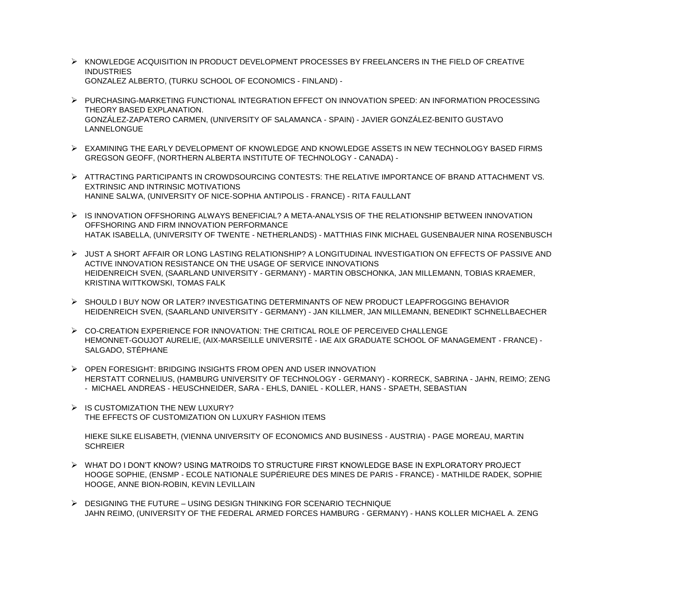- ➢ KNOWLEDGE ACQUISITION IN PRODUCT DEVELOPMENT PROCESSES BY FREELANCERS IN THE FIELD OF CREATIVE INDUSTRIES GONZALEZ ALBERTO, (TURKU SCHOOL OF ECONOMICS - FINLAND) -
- ➢ PURCHASING-MARKETING FUNCTIONAL INTEGRATION EFFECT ON INNOVATION SPEED: AN INFORMATION PROCESSING THEORY BASED EXPLANATION. GONZÁLEZ-ZAPATERO CARMEN, (UNIVERSITY OF SALAMANCA - SPAIN) - JAVIER GONZÁLEZ-BENITO GUSTAVO LANNELONGUE
- ➢ EXAMINING THE EARLY DEVELOPMENT OF KNOWLEDGE AND KNOWLEDGE ASSETS IN NEW TECHNOLOGY BASED FIRMS GREGSON GEOFF, (NORTHERN ALBERTA INSTITUTE OF TECHNOLOGY - CANADA) -
- ➢ ATTRACTING PARTICIPANTS IN CROWDSOURCING CONTESTS: THE RELATIVE IMPORTANCE OF BRAND ATTACHMENT VS. EXTRINSIC AND INTRINSIC MOTIVATIONS HANINE SALWA, (UNIVERSITY OF NICE-SOPHIA ANTIPOLIS - FRANCE) - RITA FAULLANT
- ➢ IS INNOVATION OFFSHORING ALWAYS BENEFICIAL? A META-ANALYSIS OF THE RELATIONSHIP BETWEEN INNOVATION OFFSHORING AND FIRM INNOVATION PERFORMANCE HATAK ISABELLA, (UNIVERSITY OF TWENTE - NETHERLANDS) - MATTHIAS FINK MICHAEL GUSENBAUER NINA ROSENBUSCH
- ➢ JUST A SHORT AFFAIR OR LONG LASTING RELATIONSHIP? A LONGITUDINAL INVESTIGATION ON EFFECTS OF PASSIVE AND ACTIVE INNOVATION RESISTANCE ON THE USAGE OF SERVICE INNOVATIONS HEIDENREICH SVEN, (SAARLAND UNIVERSITY - GERMANY) - MARTIN OBSCHONKA, JAN MILLEMANN, TOBIAS KRAEMER, KRISTINA WITTKOWSKI, TOMAS FALK
- ➢ SHOULD I BUY NOW OR LATER? INVESTIGATING DETERMINANTS OF NEW PRODUCT LEAPFROGGING BEHAVIOR HEIDENREICH SVEN, (SAARLAND UNIVERSITY - GERMANY) - JAN KILLMER, JAN MILLEMANN, BENEDIKT SCHNELLBAECHER
- ➢ CO-CREATION EXPERIENCE FOR INNOVATION: THE CRITICAL ROLE OF PERCEIVED CHALLENGE HEMONNET-GOUJOT AURELIE, (AIX-MARSEILLE UNIVERSITÉ - IAE AIX GRADUATE SCHOOL OF MANAGEMENT - FRANCE) - SALGADO, STÉPHANE
- ➢ OPEN FORESIGHT: BRIDGING INSIGHTS FROM OPEN AND USER INNOVATION HERSTATT CORNELIUS, (HAMBURG UNIVERSITY OF TECHNOLOGY - GERMANY) - KORRECK, SABRINA - JAHN, REIMO; ZENG - MICHAEL ANDREAS - HEUSCHNEIDER, SARA - EHLS, DANIEL - KOLLER, HANS - SPAETH, SEBASTIAN
- $\triangleright$  IS CUSTOMIZATION THE NEW LUXURY? THE EFFECTS OF CUSTOMIZATION ON LUXURY FASHION ITEMS

HIEKE SILKE ELISABETH, (VIENNA UNIVERSITY OF ECONOMICS AND BUSINESS - AUSTRIA) - PAGE MOREAU, MARTIN **SCHREIER** 

- ➢ WHAT DO I DON'T KNOW? USING MATROIDS TO STRUCTURE FIRST KNOWLEDGE BASE IN EXPLORATORY PROJECT HOOGE SOPHIE, (ENSMP - ECOLE NATIONALE SUPÉRIEURE DES MINES DE PARIS - FRANCE) - MATHILDE RADEK, SOPHIE HOOGE, ANNE BION-ROBIN, KEVIN LEVILLAIN
- ➢ DESIGNING THE FUTURE USING DESIGN THINKING FOR SCENARIO TECHNIQUE JAHN REIMO, (UNIVERSITY OF THE FEDERAL ARMED FORCES HAMBURG - GERMANY) - HANS KOLLER MICHAEL A. ZENG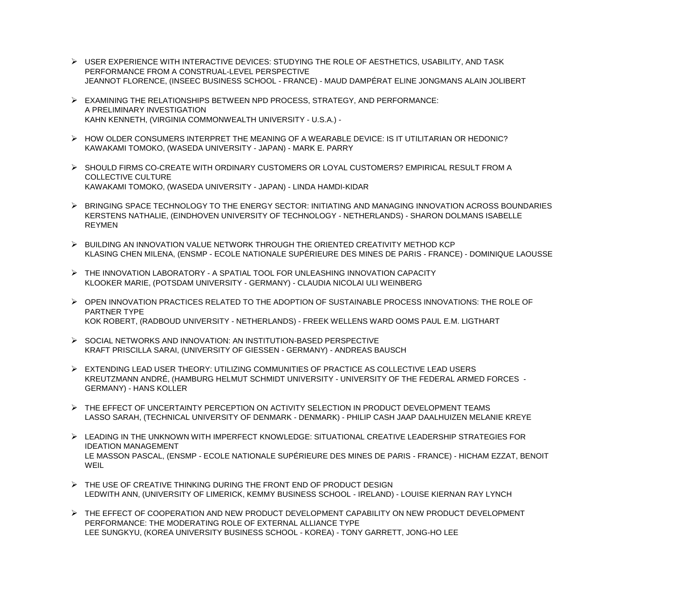- ➢ USER EXPERIENCE WITH INTERACTIVE DEVICES: STUDYING THE ROLE OF AESTHETICS, USABILITY, AND TASK PERFORMANCE FROM A CONSTRUAL-LEVEL PERSPECTIVE JEANNOT FLORENCE, (INSEEC BUSINESS SCHOOL - FRANCE) - MAUD DAMPÉRAT ELINE JONGMANS ALAIN JOLIBERT
- ➢ EXAMINING THE RELATIONSHIPS BETWEEN NPD PROCESS, STRATEGY, AND PERFORMANCE: A PRELIMINARY INVESTIGATION KAHN KENNETH, (VIRGINIA COMMONWEALTH UNIVERSITY - U.S.A.) -
- ➢ HOW OLDER CONSUMERS INTERPRET THE MEANING OF A WEARABLE DEVICE: IS IT UTILITARIAN OR HEDONIC? KAWAKAMI TOMOKO, (WASEDA UNIVERSITY - JAPAN) - MARK E. PARRY
- ➢ SHOULD FIRMS CO-CREATE WITH ORDINARY CUSTOMERS OR LOYAL CUSTOMERS? EMPIRICAL RESULT FROM A COLLECTIVE CULTURE KAWAKAMI TOMOKO, (WASEDA UNIVERSITY - JAPAN) - LINDA HAMDI-KIDAR
- ➢ BRINGING SPACE TECHNOLOGY TO THE ENERGY SECTOR: INITIATING AND MANAGING INNOVATION ACROSS BOUNDARIES KERSTENS NATHALIE, (EINDHOVEN UNIVERSITY OF TECHNOLOGY - NETHERLANDS) - SHARON DOLMANS ISABELLE REYMEN
- ➢ BUILDING AN INNOVATION VALUE NETWORK THROUGH THE ORIENTED CREATIVITY METHOD KCP KLASING CHEN MILENA, (ENSMP - ECOLE NATIONALE SUPÉRIEURE DES MINES DE PARIS - FRANCE) - DOMINIQUE LAOUSSE
- ➢ THE INNOVATION LABORATORY A SPATIAL TOOL FOR UNLEASHING INNOVATION CAPACITY KLOOKER MARIE, (POTSDAM UNIVERSITY - GERMANY) - CLAUDIA NICOLAI ULI WEINBERG
- ➢ OPEN INNOVATION PRACTICES RELATED TO THE ADOPTION OF SUSTAINABLE PROCESS INNOVATIONS: THE ROLE OF PARTNER TYPE KOK ROBERT, (RADBOUD UNIVERSITY - NETHERLANDS) - FREEK WELLENS WARD OOMS PAUL E.M. LIGTHART
- ➢ SOCIAL NETWORKS AND INNOVATION: AN INSTITUTION-BASED PERSPECTIVE KRAFT PRISCILLA SARAI, (UNIVERSITY OF GIESSEN - GERMANY) - ANDREAS BAUSCH
- ➢ EXTENDING LEAD USER THEORY: UTILIZING COMMUNITIES OF PRACTICE AS COLLECTIVE LEAD USERS KREUTZMANN ANDRÉ, (HAMBURG HELMUT SCHMIDT UNIVERSITY - UNIVERSITY OF THE FEDERAL ARMED FORCES - GERMANY) - HANS KOLLER
- ➢ THE EFFECT OF UNCERTAINTY PERCEPTION ON ACTIVITY SELECTION IN PRODUCT DEVELOPMENT TEAMS LASSO SARAH, (TECHNICAL UNIVERSITY OF DENMARK - DENMARK) - PHILIP CASH JAAP DAALHUIZEN MELANIE KREYE
- ➢ LEADING IN THE UNKNOWN WITH IMPERFECT KNOWLEDGE: SITUATIONAL CREATIVE LEADERSHIP STRATEGIES FOR IDEATION MANAGEMENT LE MASSON PASCAL, (ENSMP - ECOLE NATIONALE SUPÉRIEURE DES MINES DE PARIS - FRANCE) - HICHAM EZZAT, BENOIT WEIL
- ➢ THE USE OF CREATIVE THINKING DURING THE FRONT END OF PRODUCT DESIGN LEDWITH ANN, (UNIVERSITY OF LIMERICK, KEMMY BUSINESS SCHOOL - IRELAND) - LOUISE KIERNAN RAY LYNCH
- ➢ THE EFFECT OF COOPERATION AND NEW PRODUCT DEVELOPMENT CAPABILITY ON NEW PRODUCT DEVELOPMENT PERFORMANCE: THE MODERATING ROLE OF EXTERNAL ALLIANCE TYPE LEE SUNGKYU, (KOREA UNIVERSITY BUSINESS SCHOOL - KOREA) - TONY GARRETT, JONG-HO LEE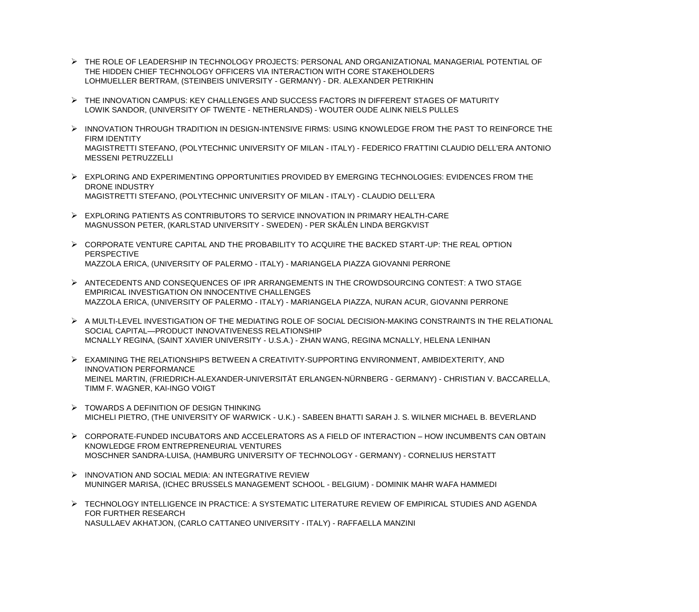- ➢ THE ROLE OF LEADERSHIP IN TECHNOLOGY PROJECTS: PERSONAL AND ORGANIZATIONAL MANAGERIAL POTENTIAL OF THE HIDDEN CHIEF TECHNOLOGY OFFICERS VIA INTERACTION WITH CORE STAKEHOLDERS LOHMUELLER BERTRAM, (STEINBEIS UNIVERSITY - GERMANY) - DR. ALEXANDER PETRIKHIN
- ➢ THE INNOVATION CAMPUS: KEY CHALLENGES AND SUCCESS FACTORS IN DIFFERENT STAGES OF MATURITY LOWIK SANDOR, (UNIVERSITY OF TWENTE - NETHERLANDS) - WOUTER OUDE ALINK NIELS PULLES
- ➢ INNOVATION THROUGH TRADITION IN DESIGN-INTENSIVE FIRMS: USING KNOWLEDGE FROM THE PAST TO REINFORCE THE FIRM IDENTITY MAGISTRETTI STEFANO, (POLYTECHNIC UNIVERSITY OF MILAN - ITALY) - FEDERICO FRATTINI CLAUDIO DELL'ERA ANTONIO MESSENI PETRUZZELLI
- ➢ EXPLORING AND EXPERIMENTING OPPORTUNITIES PROVIDED BY EMERGING TECHNOLOGIES: EVIDENCES FROM THE DRONE INDUSTRY MAGISTRETTI STEFANO, (POLYTECHNIC UNIVERSITY OF MILAN - ITALY) - CLAUDIO DELL'ERA
- ➢ EXPLORING PATIENTS AS CONTRIBUTORS TO SERVICE INNOVATION IN PRIMARY HEALTH-CARE MAGNUSSON PETER, (KARLSTAD UNIVERSITY - SWEDEN) - PER SKÅLÉN LINDA BERGKVIST
- ➢ CORPORATE VENTURE CAPITAL AND THE PROBABILITY TO ACQUIRE THE BACKED START-UP: THE REAL OPTION PERSPECTIVE MAZZOLA ERICA, (UNIVERSITY OF PALERMO - ITALY) - MARIANGELA PIAZZA GIOVANNI PERRONE
- ➢ ANTECEDENTS AND CONSEQUENCES OF IPR ARRANGEMENTS IN THE CROWDSOURCING CONTEST: A TWO STAGE EMPIRICAL INVESTIGATION ON INNOCENTIVE CHALLENGES MAZZOLA ERICA, (UNIVERSITY OF PALERMO - ITALY) - MARIANGELA PIAZZA, NURAN ACUR, GIOVANNI PERRONE
- ➢ A MULTI-LEVEL INVESTIGATION OF THE MEDIATING ROLE OF SOCIAL DECISION-MAKING CONSTRAINTS IN THE RELATIONAL SOCIAL CAPITAL—PRODUCT INNOVATIVENESS RELATIONSHIP MCNALLY REGINA, (SAINT XAVIER UNIVERSITY - U.S.A.) - ZHAN WANG, REGINA MCNALLY, HELENA LENIHAN
- ➢ EXAMINING THE RELATIONSHIPS BETWEEN A CREATIVITY-SUPPORTING ENVIRONMENT, AMBIDEXTERITY, AND INNOVATION PERFORMANCE MEINEL MARTIN, (FRIEDRICH-ALEXANDER-UNIVERSITÄT ERLANGEN-NÜRNBERG - GERMANY) - CHRISTIAN V. BACCARELLA, TIMM F. WAGNER, KAI-INGO VOIGT
- $\triangleright$  TOWARDS A DEFINITION OF DESIGN THINKING MICHELI PIETRO, (THE UNIVERSITY OF WARWICK - U.K.) - SABEEN BHATTI SARAH J. S. WILNER MICHAEL B. BEVERLAND
- ➢ CORPORATE-FUNDED INCUBATORS AND ACCELERATORS AS A FIELD OF INTERACTION HOW INCUMBENTS CAN OBTAIN KNOWLEDGE FROM ENTREPRENEURIAL VENTURES MOSCHNER SANDRA-LUISA, (HAMBURG UNIVERSITY OF TECHNOLOGY - GERMANY) - CORNELIUS HERSTATT
- ➢ INNOVATION AND SOCIAL MEDIA: AN INTEGRATIVE REVIEW MUNINGER MARISA, (ICHEC BRUSSELS MANAGEMENT SCHOOL - BELGIUM) - DOMINIK MAHR WAFA HAMMEDI
- ➢ TECHNOLOGY INTELLIGENCE IN PRACTICE: A SYSTEMATIC LITERATURE REVIEW OF EMPIRICAL STUDIES AND AGENDA FOR FURTHER RESEARCH NASULLAEV AKHATJON, (CARLO CATTANEO UNIVERSITY - ITALY) - RAFFAELLA MANZINI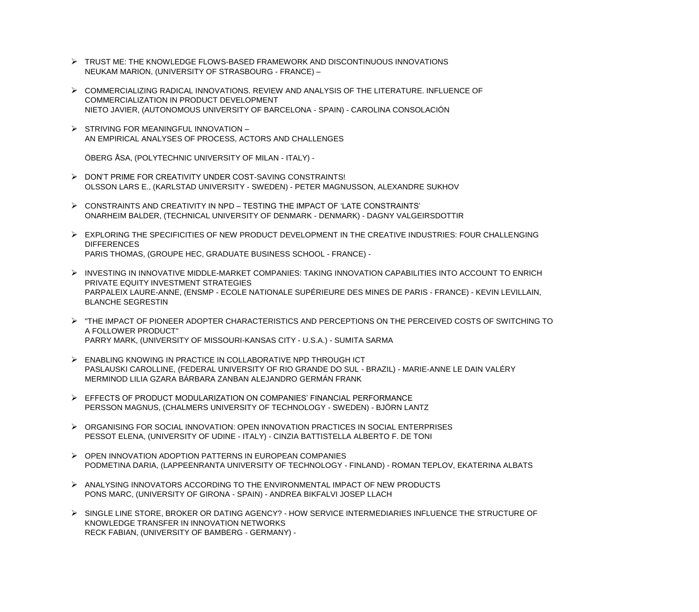- ➢ TRUST ME: THE KNOWLEDGE FLOWS-BASED FRAMEWORK AND DISCONTINUOUS INNOVATIONS NEUKAM MARION, (UNIVERSITY OF STRASBOURG - FRANCE) –
- ➢ COMMERCIALIZING RADICAL INNOVATIONS. REVIEW AND ANALYSIS OF THE LITERATURE. INFLUENCE OF COMMERCIALIZATION IN PRODUCT DEVELOPMENT NIETO JAVIER, (AUTONOMOUS UNIVERSITY OF BARCELONA - SPAIN) - CAROLINA CONSOLACIÓN
- ➢ STRIVING FOR MEANINGFUL INNOVATION AN EMPIRICAL ANALYSES OF PROCESS, ACTORS AND CHALLENGES

ÖBERG ÅSA, (POLYTECHNIC UNIVERSITY OF MILAN - ITALY) -

- ➢ DON'T PRIME FOR CREATIVITY UNDER COST-SAVING CONSTRAINTS! OLSSON LARS E., (KARLSTAD UNIVERSITY - SWEDEN) - PETER MAGNUSSON, ALEXANDRE SUKHOV
- ➢ CONSTRAINTS AND CREATIVITY IN NPD TESTING THE IMPACT OF 'LATE CONSTRAINTS' ONARHEIM BALDER, (TECHNICAL UNIVERSITY OF DENMARK - DENMARK) - DAGNY VALGEIRSDOTTIR
- ➢ EXPLORING THE SPECIFICITIES OF NEW PRODUCT DEVELOPMENT IN THE CREATIVE INDUSTRIES: FOUR CHALLENGING **DIFFERENCES** PARIS THOMAS, (GROUPE HEC, GRADUATE BUSINESS SCHOOL - FRANCE) -
- ➢ INVESTING IN INNOVATIVE MIDDLE-MARKET COMPANIES: TAKING INNOVATION CAPABILITIES INTO ACCOUNT TO ENRICH PRIVATE EQUITY INVESTMENT STRATEGIES PARPALEIX LAURE-ANNE, (ENSMP - ECOLE NATIONALE SUPÉRIEURE DES MINES DE PARIS - FRANCE) - KEVIN LEVILLAIN, BLANCHE SEGRESTIN
- ➢ "THE IMPACT OF PIONEER ADOPTER CHARACTERISTICS AND PERCEPTIONS ON THE PERCEIVED COSTS OF SWITCHING TO A FOLLOWER PRODUCT" PARRY MARK, (UNIVERSITY OF MISSOURI-KANSAS CITY - U.S.A.) - SUMITA SARMA
- ➢ ENABLING KNOWING IN PRACTICE IN COLLABORATIVE NPD THROUGH ICT PASLAUSKI CAROLLINE, (FEDERAL UNIVERSITY OF RIO GRANDE DO SUL - BRAZIL) - MARIE-ANNE LE DAIN VALÉRY MERMINOD LILIA GZARA BÁRBARA ZANBAN ALEJANDRO GERMÁN FRANK
- ➢ EFFECTS OF PRODUCT MODULARIZATION ON COMPANIES' FINANCIAL PERFORMANCE PERSSON MAGNUS, (CHALMERS UNIVERSITY OF TECHNOLOGY - SWEDEN) - BJÖRN LANTZ
- ➢ ORGANISING FOR SOCIAL INNOVATION: OPEN INNOVATION PRACTICES IN SOCIAL ENTERPRISES PESSOT ELENA, (UNIVERSITY OF UDINE - ITALY) - CINZIA BATTISTELLA ALBERTO F. DE TONI
- ➢ OPEN INNOVATION ADOPTION PATTERNS IN EUROPEAN COMPANIES PODMETINA DARIA, (LAPPEENRANTA UNIVERSITY OF TECHNOLOGY - FINLAND) - ROMAN TEPLOV, EKATERINA ALBATS
- ➢ ANALYSING INNOVATORS ACCORDING TO THE ENVIRONMENTAL IMPACT OF NEW PRODUCTS PONS MARC, (UNIVERSITY OF GIRONA - SPAIN) - ANDREA BIKFALVI JOSEP LLACH
- ➢ SINGLE LINE STORE, BROKER OR DATING AGENCY? HOW SERVICE INTERMEDIARIES INFLUENCE THE STRUCTURE OF KNOWLEDGE TRANSFER IN INNOVATION NETWORKS RECK FABIAN, (UNIVERSITY OF BAMBERG - GERMANY) -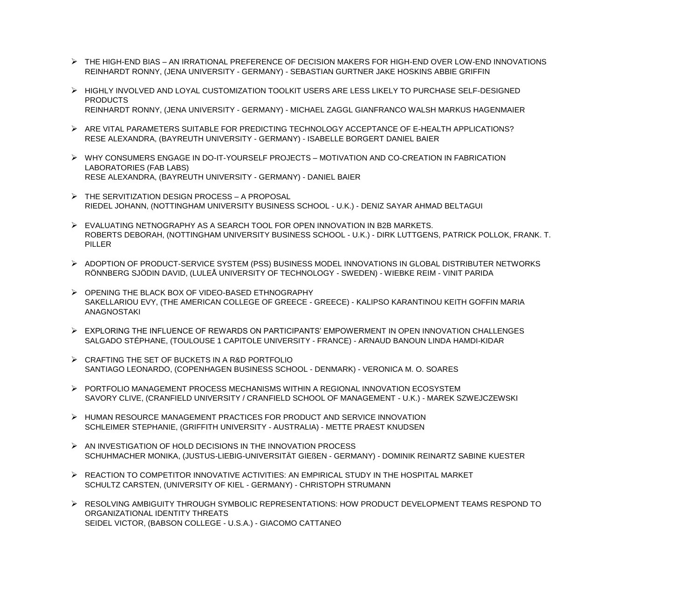- ➢ THE HIGH-END BIAS AN IRRATIONAL PREFERENCE OF DECISION MAKERS FOR HIGH-END OVER LOW-END INNOVATIONS REINHARDT RONNY, (JENA UNIVERSITY - GERMANY) - SEBASTIAN GURTNER JAKE HOSKINS ABBIE GRIFFIN
- ➢ HIGHLY INVOLVED AND LOYAL CUSTOMIZATION TOOLKIT USERS ARE LESS LIKELY TO PURCHASE SELF-DESIGNED PRODUCTS REINHARDT RONNY, (JENA UNIVERSITY - GERMANY) - MICHAEL ZAGGL GIANFRANCO WALSH MARKUS HAGENMAIER
- ➢ ARE VITAL PARAMETERS SUITABLE FOR PREDICTING TECHNOLOGY ACCEPTANCE OF E-HEALTH APPLICATIONS? RESE ALEXANDRA, (BAYREUTH UNIVERSITY - GERMANY) - ISABELLE BORGERT DANIEL BAIER
- ➢ WHY CONSUMERS ENGAGE IN DO-IT-YOURSELF PROJECTS MOTIVATION AND CO-CREATION IN FABRICATION LABORATORIES (FAB LABS) RESE ALEXANDRA, (BAYREUTH UNIVERSITY - GERMANY) - DANIEL BAIER
- ➢ THE SERVITIZATION DESIGN PROCESS A PROPOSAL RIEDEL JOHANN, (NOTTINGHAM UNIVERSITY BUSINESS SCHOOL - U.K.) - DENIZ SAYAR AHMAD BELTAGUI
- ➢ EVALUATING NETNOGRAPHY AS A SEARCH TOOL FOR OPEN INNOVATION IN B2B MARKETS. ROBERTS DEBORAH, (NOTTINGHAM UNIVERSITY BUSINESS SCHOOL - U.K.) - DIRK LUTTGENS, PATRICK POLLOK, FRANK. T. PILLER
- ➢ ADOPTION OF PRODUCT-SERVICE SYSTEM (PSS) BUSINESS MODEL INNOVATIONS IN GLOBAL DISTRIBUTER NETWORKS RÖNNBERG SJÖDIN DAVID, (LULEÅ UNIVERSITY OF TECHNOLOGY - SWEDEN) - WIEBKE REIM - VINIT PARIDA
- ➢ OPENING THE BLACK BOX OF VIDEO-BASED ETHNOGRAPHY SAKELLARIOU EVY, (THE AMERICAN COLLEGE OF GREECE - GREECE) - KALIPSO KARANTINOU KEITH GOFFIN MARIA ANAGNOSTAKI
- ➢ EXPLORING THE INFLUENCE OF REWARDS ON PARTICIPANTS' EMPOWERMENT IN OPEN INNOVATION CHALLENGES SALGADO STÉPHANE, (TOULOUSE 1 CAPITOLE UNIVERSITY - FRANCE) - ARNAUD BANOUN LINDA HAMDI-KIDAR
- ➢ CRAFTING THE SET OF BUCKETS IN A R&D PORTFOLIO SANTIAGO LEONARDO, (COPENHAGEN BUSINESS SCHOOL - DENMARK) - VERONICA M. O. SOARES
- ➢ PORTFOLIO MANAGEMENT PROCESS MECHANISMS WITHIN A REGIONAL INNOVATION ECOSYSTEM SAVORY CLIVE, (CRANFIELD UNIVERSITY / CRANFIELD SCHOOL OF MANAGEMENT - U.K.) - MAREK SZWEJCZEWSKI
- ➢ HUMAN RESOURCE MANAGEMENT PRACTICES FOR PRODUCT AND SERVICE INNOVATION SCHLEIMER STEPHANIE, (GRIFFITH UNIVERSITY - AUSTRALIA) - METTE PRAEST KNUDSEN
- ➢ AN INVESTIGATION OF HOLD DECISIONS IN THE INNOVATION PROCESS SCHUHMACHER MONIKA, (JUSTUS-LIEBIG-UNIVERSITÄT GIEßEN - GERMANY) - DOMINIK REINARTZ SABINE KUESTER
- ➢ REACTION TO COMPETITOR INNOVATIVE ACTIVITIES: AN EMPIRICAL STUDY IN THE HOSPITAL MARKET SCHULTZ CARSTEN, (UNIVERSITY OF KIEL - GERMANY) - CHRISTOPH STRUMANN
- ➢ RESOLVING AMBIGUITY THROUGH SYMBOLIC REPRESENTATIONS: HOW PRODUCT DEVELOPMENT TEAMS RESPOND TO ORGANIZATIONAL IDENTITY THREATS SEIDEL VICTOR, (BABSON COLLEGE - U.S.A.) - GIACOMO CATTANEO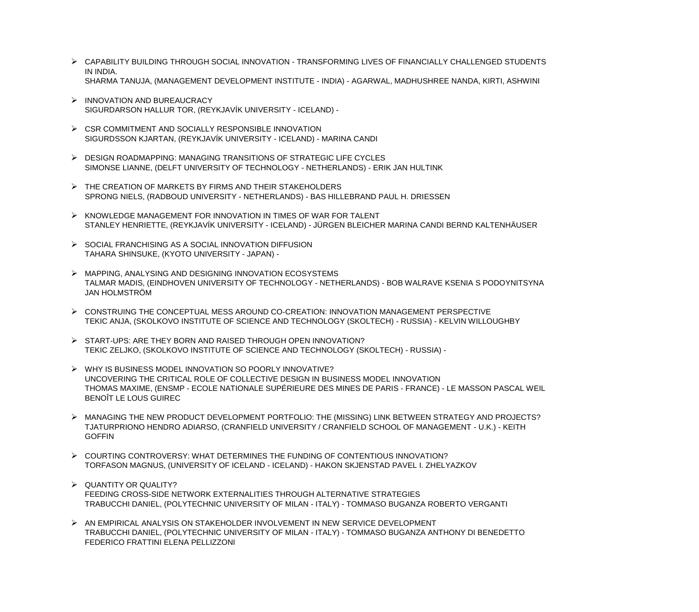- ➢ CAPABILITY BUILDING THROUGH SOCIAL INNOVATION TRANSFORMING LIVES OF FINANCIALLY CHALLENGED STUDENTS IN INDIA. SHARMA TANUJA, (MANAGEMENT DEVELOPMENT INSTITUTE - INDIA) - AGARWAL, MADHUSHREE NANDA, KIRTI, ASHWINI
- ➢ INNOVATION AND BUREAUCRACY SIGURDARSON HALLUR TOR, (REYKJAVÍK UNIVERSITY - ICELAND) -
- ➢ CSR COMMITMENT AND SOCIALLY RESPONSIBLE INNOVATION SIGURDSSON KJARTAN, (REYKJAVÍK UNIVERSITY - ICELAND) - MARINA CANDI
- ➢ DESIGN ROADMAPPING: MANAGING TRANSITIONS OF STRATEGIC LIFE CYCLES SIMONSE LIANNE, (DELFT UNIVERSITY OF TECHNOLOGY - NETHERLANDS) - ERIK JAN HULTINK
- ➢ THE CREATION OF MARKETS BY FIRMS AND THEIR STAKEHOLDERS SPRONG NIELS, (RADBOUD UNIVERSITY - NETHERLANDS) - BAS HILLEBRAND PAUL H. DRIESSEN
- ➢ KNOWLEDGE MANAGEMENT FOR INNOVATION IN TIMES OF WAR FOR TALENT STANLEY HENRIETTE, (REYKJAVÍK UNIVERSITY - ICELAND) - JÜRGEN BLEICHER MARINA CANDI BERND KALTENHÄUSER
- ➢ SOCIAL FRANCHISING AS A SOCIAL INNOVATION DIFFUSION TAHARA SHINSUKE, (KYOTO UNIVERSITY - JAPAN) -
- ➢ MAPPING, ANALYSING AND DESIGNING INNOVATION ECOSYSTEMS TALMAR MADIS, (EINDHOVEN UNIVERSITY OF TECHNOLOGY - NETHERLANDS) - BOB WALRAVE KSENIA S PODOYNITSYNA JAN HOLMSTRÖM
- ➢ CONSTRUING THE CONCEPTUAL MESS AROUND CO-CREATION: INNOVATION MANAGEMENT PERSPECTIVE TEKIC ANJA, (SKOLKOVO INSTITUTE OF SCIENCE AND TECHNOLOGY (SKOLTECH) - RUSSIA) - KELVIN WILLOUGHBY
- ➢ START-UPS: ARE THEY BORN AND RAISED THROUGH OPEN INNOVATION? TEKIC ZELJKO, (SKOLKOVO INSTITUTE OF SCIENCE AND TECHNOLOGY (SKOLTECH) - RUSSIA) -
- ➢ WHY IS BUSINESS MODEL INNOVATION SO POORLY INNOVATIVE? UNCOVERING THE CRITICAL ROLE OF COLLECTIVE DESIGN IN BUSINESS MODEL INNOVATION THOMAS MAXIME, (ENSMP - ECOLE NATIONALE SUPÉRIEURE DES MINES DE PARIS - FRANCE) - LE MASSON PASCAL WEIL BENOÎT LE LOUS GUIREC
- ➢ MANAGING THE NEW PRODUCT DEVELOPMENT PORTFOLIO: THE (MISSING) LINK BETWEEN STRATEGY AND PROJECTS? TJATURPRIONO HENDRO ADIARSO, (CRANFIELD UNIVERSITY / CRANFIELD SCHOOL OF MANAGEMENT - U.K.) - KEITH GOFFIN
- ➢ COURTING CONTROVERSY: WHAT DETERMINES THE FUNDING OF CONTENTIOUS INNOVATION? TORFASON MAGNUS, (UNIVERSITY OF ICELAND - ICELAND) - HAKON SKJENSTAD PAVEL I. ZHELYAZKOV
- ➢ QUANTITY OR QUALITY? FEEDING CROSS-SIDE NETWORK EXTERNALITIES THROUGH ALTERNATIVE STRATEGIES TRABUCCHI DANIEL, (POLYTECHNIC UNIVERSITY OF MILAN - ITALY) - TOMMASO BUGANZA ROBERTO VERGANTI
- ➢ AN EMPIRICAL ANALYSIS ON STAKEHOLDER INVOLVEMENT IN NEW SERVICE DEVELOPMENT TRABUCCHI DANIEL, (POLYTECHNIC UNIVERSITY OF MILAN - ITALY) - TOMMASO BUGANZA ANTHONY DI BENEDETTO FEDERICO FRATTINI ELENA PELLIZZONI